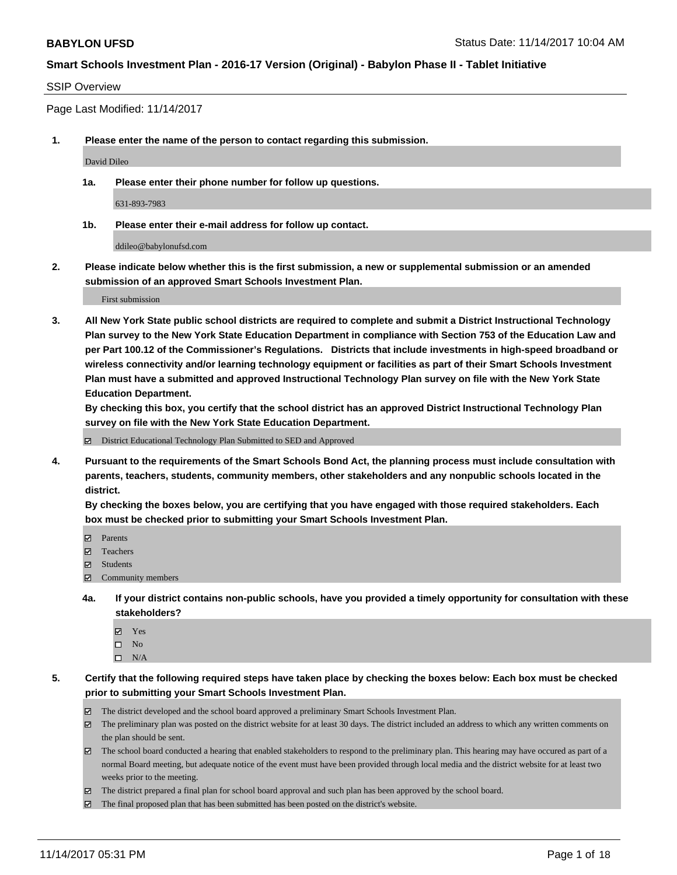#### SSIP Overview

Page Last Modified: 11/14/2017

**1. Please enter the name of the person to contact regarding this submission.**

David Dileo

**1a. Please enter their phone number for follow up questions.**

631-893-7983

**1b. Please enter their e-mail address for follow up contact.**

ddileo@babylonufsd.com

**2. Please indicate below whether this is the first submission, a new or supplemental submission or an amended submission of an approved Smart Schools Investment Plan.**

First submission

**3. All New York State public school districts are required to complete and submit a District Instructional Technology Plan survey to the New York State Education Department in compliance with Section 753 of the Education Law and per Part 100.12 of the Commissioner's Regulations. Districts that include investments in high-speed broadband or wireless connectivity and/or learning technology equipment or facilities as part of their Smart Schools Investment Plan must have a submitted and approved Instructional Technology Plan survey on file with the New York State Education Department.** 

**By checking this box, you certify that the school district has an approved District Instructional Technology Plan survey on file with the New York State Education Department.**

District Educational Technology Plan Submitted to SED and Approved

**4. Pursuant to the requirements of the Smart Schools Bond Act, the planning process must include consultation with parents, teachers, students, community members, other stakeholders and any nonpublic schools located in the district.** 

**By checking the boxes below, you are certifying that you have engaged with those required stakeholders. Each box must be checked prior to submitting your Smart Schools Investment Plan.**

- **Parents**
- Teachers
- **☑** Students
- $\Xi$  Community members
- **4a. If your district contains non-public schools, have you provided a timely opportunity for consultation with these stakeholders?**
	- **Ø** Yes
	- $\square$  No
	- $\square$  N/A
- **5. Certify that the following required steps have taken place by checking the boxes below: Each box must be checked prior to submitting your Smart Schools Investment Plan.**
	- The district developed and the school board approved a preliminary Smart Schools Investment Plan.
	- The preliminary plan was posted on the district website for at least 30 days. The district included an address to which any written comments on the plan should be sent.
	- The school board conducted a hearing that enabled stakeholders to respond to the preliminary plan. This hearing may have occured as part of a normal Board meeting, but adequate notice of the event must have been provided through local media and the district website for at least two weeks prior to the meeting.
	- The district prepared a final plan for school board approval and such plan has been approved by the school board.
	- $\boxtimes$  The final proposed plan that has been submitted has been posted on the district's website.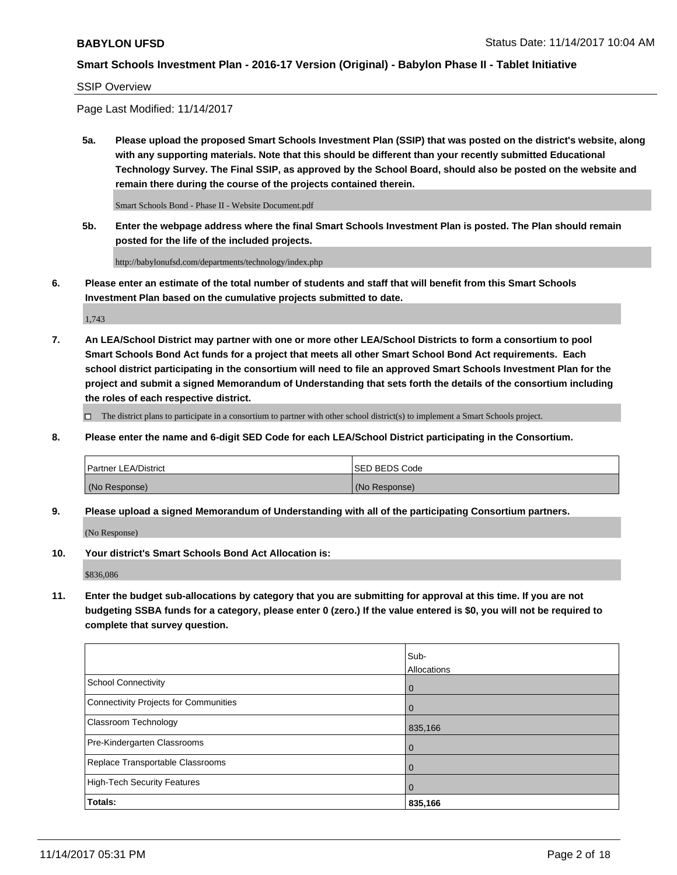#### SSIP Overview

Page Last Modified: 11/14/2017

**5a. Please upload the proposed Smart Schools Investment Plan (SSIP) that was posted on the district's website, along with any supporting materials. Note that this should be different than your recently submitted Educational Technology Survey. The Final SSIP, as approved by the School Board, should also be posted on the website and remain there during the course of the projects contained therein.**

Smart Schools Bond - Phase II - Website Document.pdf

**5b. Enter the webpage address where the final Smart Schools Investment Plan is posted. The Plan should remain posted for the life of the included projects.**

http://babylonufsd.com/departments/technology/index.php

**6. Please enter an estimate of the total number of students and staff that will benefit from this Smart Schools Investment Plan based on the cumulative projects submitted to date.**

1,743

**7. An LEA/School District may partner with one or more other LEA/School Districts to form a consortium to pool Smart Schools Bond Act funds for a project that meets all other Smart School Bond Act requirements. Each school district participating in the consortium will need to file an approved Smart Schools Investment Plan for the project and submit a signed Memorandum of Understanding that sets forth the details of the consortium including the roles of each respective district.**

 $\Box$  The district plans to participate in a consortium to partner with other school district(s) to implement a Smart Schools project.

**8. Please enter the name and 6-digit SED Code for each LEA/School District participating in the Consortium.**

| <b>Partner LEA/District</b> | <b>ISED BEDS Code</b> |
|-----------------------------|-----------------------|
| (No Response)               | (No Response)         |

**9. Please upload a signed Memorandum of Understanding with all of the participating Consortium partners.**

(No Response)

**10. Your district's Smart Schools Bond Act Allocation is:**

\$836,086

**11. Enter the budget sub-allocations by category that you are submitting for approval at this time. If you are not budgeting SSBA funds for a category, please enter 0 (zero.) If the value entered is \$0, you will not be required to complete that survey question.**

|                                       | Sub-        |
|---------------------------------------|-------------|
|                                       | Allocations |
| <b>School Connectivity</b>            | 0           |
| Connectivity Projects for Communities | $\Omega$    |
| <b>Classroom Technology</b>           | 835,166     |
| Pre-Kindergarten Classrooms           | 0           |
| Replace Transportable Classrooms      | 0           |
| <b>High-Tech Security Features</b>    | 0           |
| Totals:                               | 835,166     |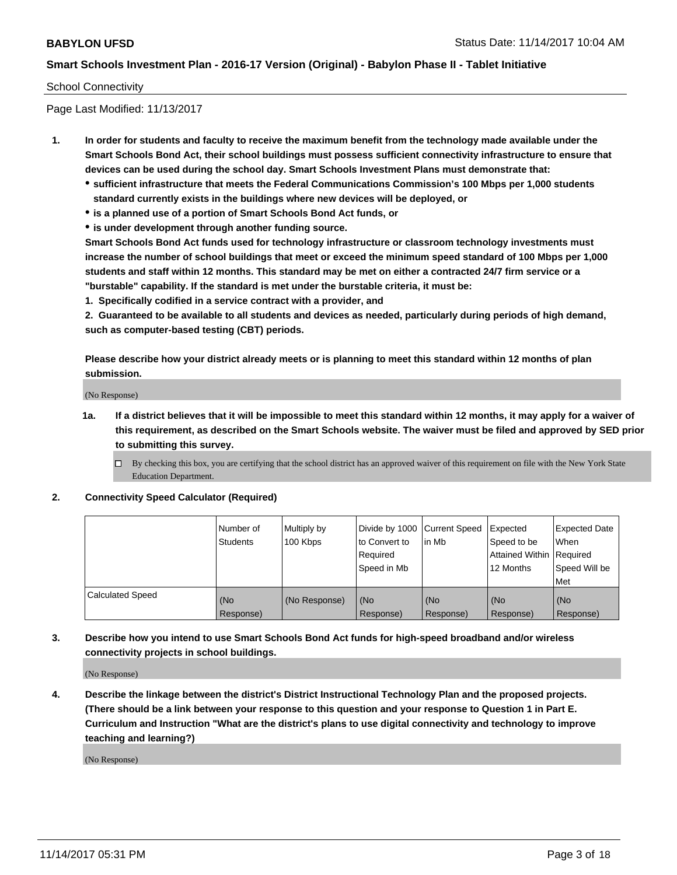## School Connectivity

Page Last Modified: 11/13/2017

- **1. In order for students and faculty to receive the maximum benefit from the technology made available under the Smart Schools Bond Act, their school buildings must possess sufficient connectivity infrastructure to ensure that devices can be used during the school day. Smart Schools Investment Plans must demonstrate that:**
	- **sufficient infrastructure that meets the Federal Communications Commission's 100 Mbps per 1,000 students standard currently exists in the buildings where new devices will be deployed, or**
	- **is a planned use of a portion of Smart Schools Bond Act funds, or**
	- **is under development through another funding source.**

**Smart Schools Bond Act funds used for technology infrastructure or classroom technology investments must increase the number of school buildings that meet or exceed the minimum speed standard of 100 Mbps per 1,000 students and staff within 12 months. This standard may be met on either a contracted 24/7 firm service or a "burstable" capability. If the standard is met under the burstable criteria, it must be:**

**1. Specifically codified in a service contract with a provider, and**

**2. Guaranteed to be available to all students and devices as needed, particularly during periods of high demand, such as computer-based testing (CBT) periods.**

**Please describe how your district already meets or is planning to meet this standard within 12 months of plan submission.**

(No Response)

**1a. If a district believes that it will be impossible to meet this standard within 12 months, it may apply for a waiver of this requirement, as described on the Smart Schools website. The waiver must be filed and approved by SED prior to submitting this survey.**

**2. Connectivity Speed Calculator (Required)**

|                         | Number of<br><b>Students</b> | Multiply by<br>100 Kbps | Divide by 1000   Current Speed<br>to Convert to<br>Required<br>Speed in Mb | lin Mb           | Expected<br>Speed to be<br>Attained Within   Required<br>12 Months | <b>Expected Date</b><br>When<br>Speed Will be<br>Met |
|-------------------------|------------------------------|-------------------------|----------------------------------------------------------------------------|------------------|--------------------------------------------------------------------|------------------------------------------------------|
| <b>Calculated Speed</b> | (No<br>Response)             | (No Response)           | (No<br>Response)                                                           | (No<br>Response) | (No<br>Response)                                                   | (No<br>Response)                                     |

**3. Describe how you intend to use Smart Schools Bond Act funds for high-speed broadband and/or wireless connectivity projects in school buildings.**

(No Response)

**4. Describe the linkage between the district's District Instructional Technology Plan and the proposed projects. (There should be a link between your response to this question and your response to Question 1 in Part E. Curriculum and Instruction "What are the district's plans to use digital connectivity and technology to improve teaching and learning?)**

(No Response)

 $\Box$  By checking this box, you are certifying that the school district has an approved waiver of this requirement on file with the New York State Education Department.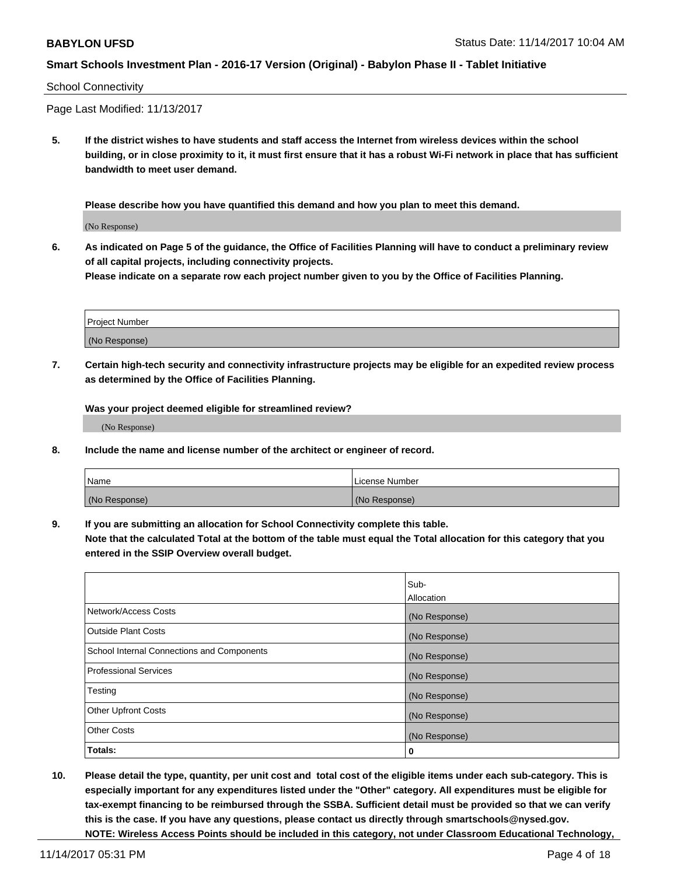#### School Connectivity

Page Last Modified: 11/13/2017

**5. If the district wishes to have students and staff access the Internet from wireless devices within the school building, or in close proximity to it, it must first ensure that it has a robust Wi-Fi network in place that has sufficient bandwidth to meet user demand.**

**Please describe how you have quantified this demand and how you plan to meet this demand.**

(No Response)

**6. As indicated on Page 5 of the guidance, the Office of Facilities Planning will have to conduct a preliminary review of all capital projects, including connectivity projects.**

**Please indicate on a separate row each project number given to you by the Office of Facilities Planning.**

| Project Number |  |
|----------------|--|
| (No Response)  |  |

**7. Certain high-tech security and connectivity infrastructure projects may be eligible for an expedited review process as determined by the Office of Facilities Planning.**

**Was your project deemed eligible for streamlined review?**

(No Response)

**8. Include the name and license number of the architect or engineer of record.**

| Name          | License Number |
|---------------|----------------|
| (No Response) | (No Response)  |

**9. If you are submitting an allocation for School Connectivity complete this table.**

**Note that the calculated Total at the bottom of the table must equal the Total allocation for this category that you entered in the SSIP Overview overall budget.** 

|                                            | Sub-          |
|--------------------------------------------|---------------|
|                                            | Allocation    |
| Network/Access Costs                       | (No Response) |
| <b>Outside Plant Costs</b>                 | (No Response) |
| School Internal Connections and Components | (No Response) |
| <b>Professional Services</b>               | (No Response) |
| Testing                                    | (No Response) |
| <b>Other Upfront Costs</b>                 | (No Response) |
| <b>Other Costs</b>                         | (No Response) |
| Totals:                                    | 0             |

**10. Please detail the type, quantity, per unit cost and total cost of the eligible items under each sub-category. This is especially important for any expenditures listed under the "Other" category. All expenditures must be eligible for tax-exempt financing to be reimbursed through the SSBA. Sufficient detail must be provided so that we can verify this is the case. If you have any questions, please contact us directly through smartschools@nysed.gov. NOTE: Wireless Access Points should be included in this category, not under Classroom Educational Technology,**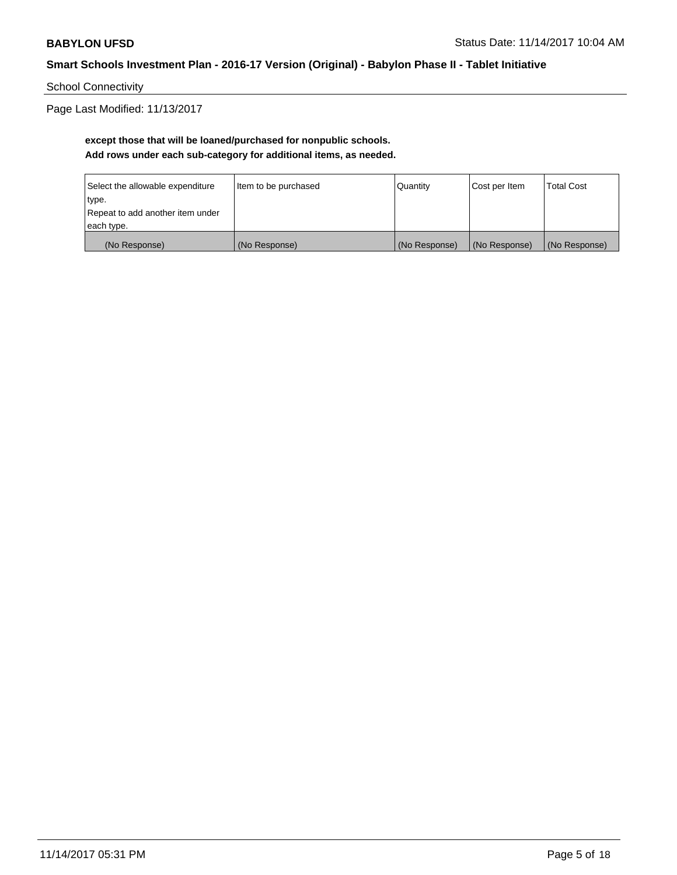School Connectivity

Page Last Modified: 11/13/2017

# **except those that will be loaned/purchased for nonpublic schools. Add rows under each sub-category for additional items, as needed.**

| Select the allowable expenditure | Item to be purchased | Quantity      | Cost per Item | <b>Total Cost</b> |
|----------------------------------|----------------------|---------------|---------------|-------------------|
| type.                            |                      |               |               |                   |
| Repeat to add another item under |                      |               |               |                   |
| each type.                       |                      |               |               |                   |
| (No Response)                    | (No Response)        | (No Response) | (No Response) | (No Response)     |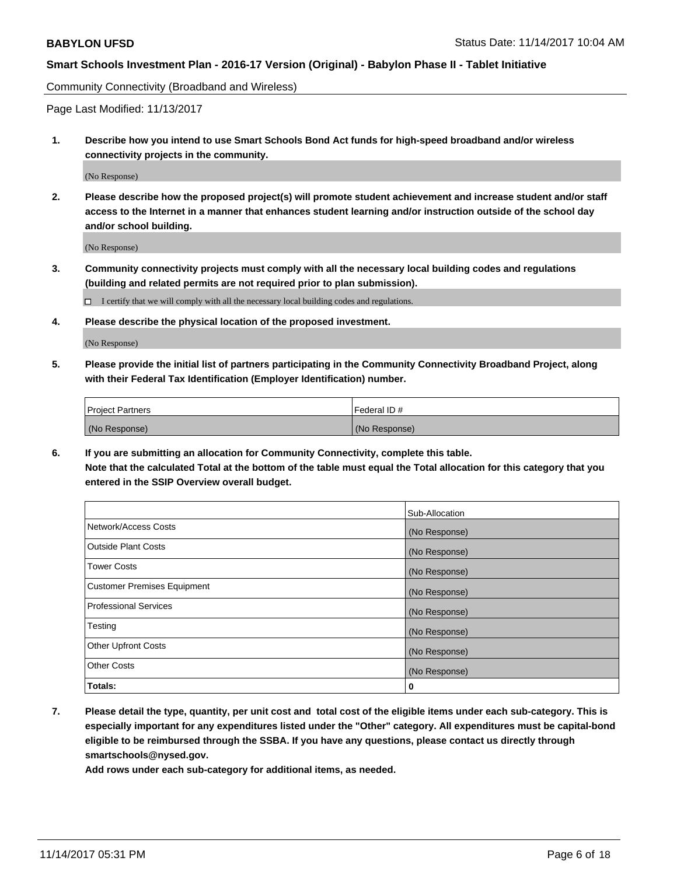Community Connectivity (Broadband and Wireless)

Page Last Modified: 11/13/2017

**1. Describe how you intend to use Smart Schools Bond Act funds for high-speed broadband and/or wireless connectivity projects in the community.**

(No Response)

**2. Please describe how the proposed project(s) will promote student achievement and increase student and/or staff access to the Internet in a manner that enhances student learning and/or instruction outside of the school day and/or school building.**

(No Response)

- **3. Community connectivity projects must comply with all the necessary local building codes and regulations (building and related permits are not required prior to plan submission).**
	- $\Box$  I certify that we will comply with all the necessary local building codes and regulations.
- **4. Please describe the physical location of the proposed investment.**

(No Response)

**5. Please provide the initial list of partners participating in the Community Connectivity Broadband Project, along with their Federal Tax Identification (Employer Identification) number.**

| <b>Project Partners</b> | l Federal ID # |
|-------------------------|----------------|
| (No Response)           | (No Response)  |

**6. If you are submitting an allocation for Community Connectivity, complete this table. Note that the calculated Total at the bottom of the table must equal the Total allocation for this category that you entered in the SSIP Overview overall budget.**

|                                    | Sub-Allocation |
|------------------------------------|----------------|
| Network/Access Costs               | (No Response)  |
| <b>Outside Plant Costs</b>         | (No Response)  |
| <b>Tower Costs</b>                 | (No Response)  |
| <b>Customer Premises Equipment</b> | (No Response)  |
| <b>Professional Services</b>       | (No Response)  |
| Testing                            | (No Response)  |
| <b>Other Upfront Costs</b>         | (No Response)  |
| <b>Other Costs</b>                 | (No Response)  |
| Totals:                            | 0              |

**7. Please detail the type, quantity, per unit cost and total cost of the eligible items under each sub-category. This is especially important for any expenditures listed under the "Other" category. All expenditures must be capital-bond eligible to be reimbursed through the SSBA. If you have any questions, please contact us directly through smartschools@nysed.gov.**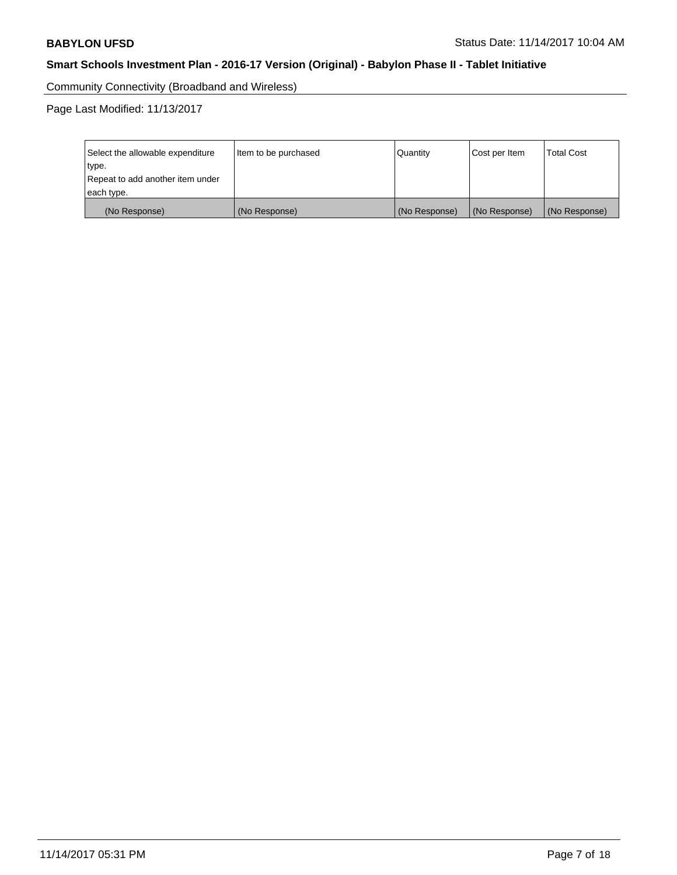Community Connectivity (Broadband and Wireless)

Page Last Modified: 11/13/2017

| Select the allowable expenditure<br>type.<br>Repeat to add another item under | Item to be purchased | Quantity      | Cost per Item | <b>Total Cost</b> |
|-------------------------------------------------------------------------------|----------------------|---------------|---------------|-------------------|
| each type.                                                                    |                      |               |               |                   |
| (No Response)                                                                 | (No Response)        | (No Response) | (No Response) | (No Response)     |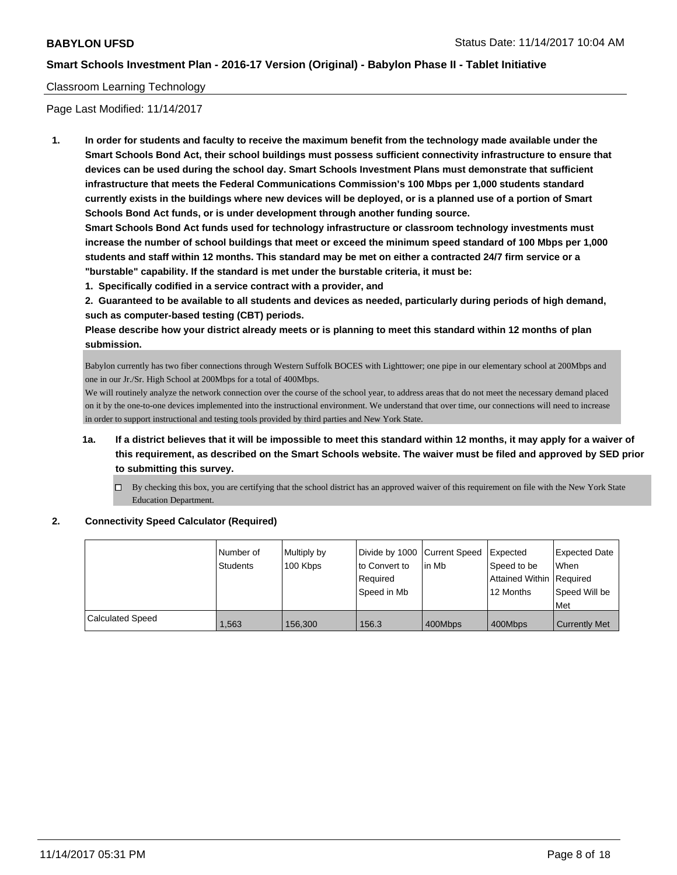## Classroom Learning Technology

Page Last Modified: 11/14/2017

**1. In order for students and faculty to receive the maximum benefit from the technology made available under the Smart Schools Bond Act, their school buildings must possess sufficient connectivity infrastructure to ensure that devices can be used during the school day. Smart Schools Investment Plans must demonstrate that sufficient infrastructure that meets the Federal Communications Commission's 100 Mbps per 1,000 students standard currently exists in the buildings where new devices will be deployed, or is a planned use of a portion of Smart Schools Bond Act funds, or is under development through another funding source.**

**Smart Schools Bond Act funds used for technology infrastructure or classroom technology investments must increase the number of school buildings that meet or exceed the minimum speed standard of 100 Mbps per 1,000 students and staff within 12 months. This standard may be met on either a contracted 24/7 firm service or a "burstable" capability. If the standard is met under the burstable criteria, it must be:**

**1. Specifically codified in a service contract with a provider, and**

**2. Guaranteed to be available to all students and devices as needed, particularly during periods of high demand, such as computer-based testing (CBT) periods.**

**Please describe how your district already meets or is planning to meet this standard within 12 months of plan submission.**

Babylon currently has two fiber connections through Western Suffolk BOCES with Lighttower; one pipe in our elementary school at 200Mbps and one in our Jr./Sr. High School at 200Mbps for a total of 400Mbps.

We will routinely analyze the network connection over the course of the school year, to address areas that do not meet the necessary demand placed on it by the one-to-one devices implemented into the instructional environment. We understand that over time, our connections will need to increase in order to support instructional and testing tools provided by third parties and New York State.

- **1a. If a district believes that it will be impossible to meet this standard within 12 months, it may apply for a waiver of this requirement, as described on the Smart Schools website. The waiver must be filed and approved by SED prior to submitting this survey.**
	- $\Box$  By checking this box, you are certifying that the school district has an approved waiver of this requirement on file with the New York State Education Department.

#### **2. Connectivity Speed Calculator (Required)**

|                  | Number of<br>Students | Multiply by<br>100 Kbps | Divide by 1000 Current Speed<br>to Convert to<br>Required<br>Speed in Mb | lin Mb  | <b>Expected</b><br>Speed to be<br>Attained Within   Required<br>12 Months | Expected Date<br>When<br>Speed Will be<br>Met |
|------------------|-----------------------|-------------------------|--------------------------------------------------------------------------|---------|---------------------------------------------------------------------------|-----------------------------------------------|
| Calculated Speed | 1.563                 | 156.300                 | 156.3                                                                    | 400Mbps | 400Mbps                                                                   | <b>Currently Met</b>                          |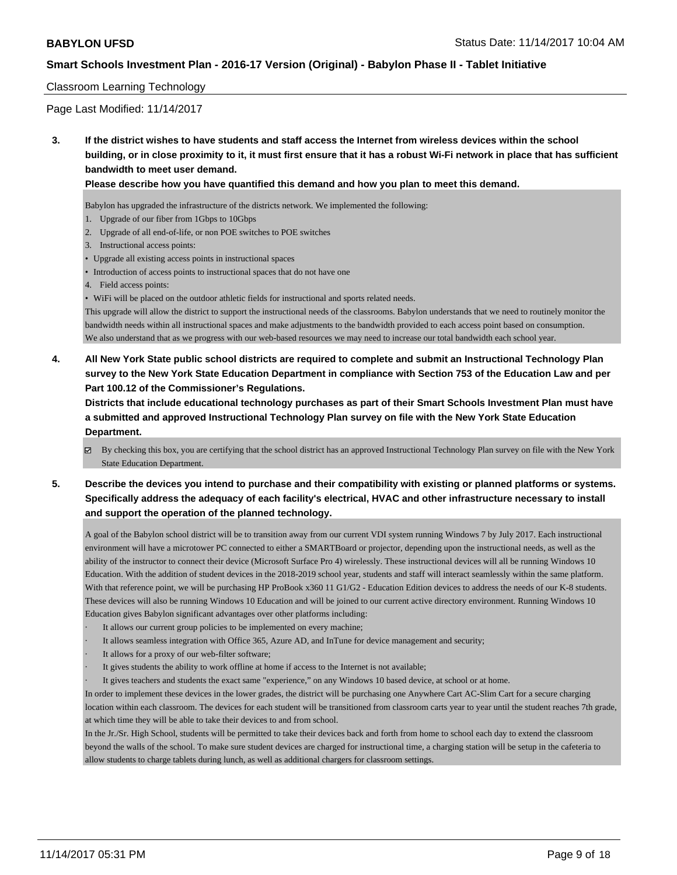## Classroom Learning Technology

Page Last Modified: 11/14/2017

**3. If the district wishes to have students and staff access the Internet from wireless devices within the school building, or in close proximity to it, it must first ensure that it has a robust Wi-Fi network in place that has sufficient bandwidth to meet user demand.**

**Please describe how you have quantified this demand and how you plan to meet this demand.**

Babylon has upgraded the infrastructure of the districts network. We implemented the following:

- 1. Upgrade of our fiber from 1Gbps to 10Gbps
- 2. Upgrade of all end-of-life, or non POE switches to POE switches
- 3. Instructional access points:
- Upgrade all existing access points in instructional spaces
- Introduction of access points to instructional spaces that do not have one
- 4. Field access points:

• WiFi will be placed on the outdoor athletic fields for instructional and sports related needs.

This upgrade will allow the district to support the instructional needs of the classrooms. Babylon understands that we need to routinely monitor the bandwidth needs within all instructional spaces and make adjustments to the bandwidth provided to each access point based on consumption. We also understand that as we progress with our web-based resources we may need to increase our total bandwidth each school year.

**4. All New York State public school districts are required to complete and submit an Instructional Technology Plan survey to the New York State Education Department in compliance with Section 753 of the Education Law and per Part 100.12 of the Commissioner's Regulations.**

**Districts that include educational technology purchases as part of their Smart Schools Investment Plan must have a submitted and approved Instructional Technology Plan survey on file with the New York State Education Department.**

By checking this box, you are certifying that the school district has an approved Instructional Technology Plan survey on file with the New York State Education Department.

**5. Describe the devices you intend to purchase and their compatibility with existing or planned platforms or systems. Specifically address the adequacy of each facility's electrical, HVAC and other infrastructure necessary to install and support the operation of the planned technology.**

A goal of the Babylon school district will be to transition away from our current VDI system running Windows 7 by July 2017. Each instructional environment will have a microtower PC connected to either a SMARTBoard or projector, depending upon the instructional needs, as well as the ability of the instructor to connect their device (Microsoft Surface Pro 4) wirelessly. These instructional devices will all be running Windows 10 Education. With the addition of student devices in the 2018-2019 school year, students and staff will interact seamlessly within the same platform. With that reference point, we will be purchasing HP ProBook x360 11 G1/G2 - Education Edition devices to address the needs of our K-8 students. These devices will also be running Windows 10 Education and will be joined to our current active directory environment. Running Windows 10 Education gives Babylon significant advantages over other platforms including:

- It allows our current group policies to be implemented on every machine;
- It allows seamless integration with Office 365, Azure AD, and InTune for device management and security;
- It allows for a proxy of our web-filter software;
- It gives students the ability to work offline at home if access to the Internet is not available;
- It gives teachers and students the exact same "experience," on any Windows 10 based device, at school or at home.

In order to implement these devices in the lower grades, the district will be purchasing one Anywhere Cart AC-Slim Cart for a secure charging location within each classroom. The devices for each student will be transitioned from classroom carts year to year until the student reaches 7th grade, at which time they will be able to take their devices to and from school.

In the Jr./Sr. High School, students will be permitted to take their devices back and forth from home to school each day to extend the classroom beyond the walls of the school. To make sure student devices are charged for instructional time, a charging station will be setup in the cafeteria to allow students to charge tablets during lunch, as well as additional chargers for classroom settings.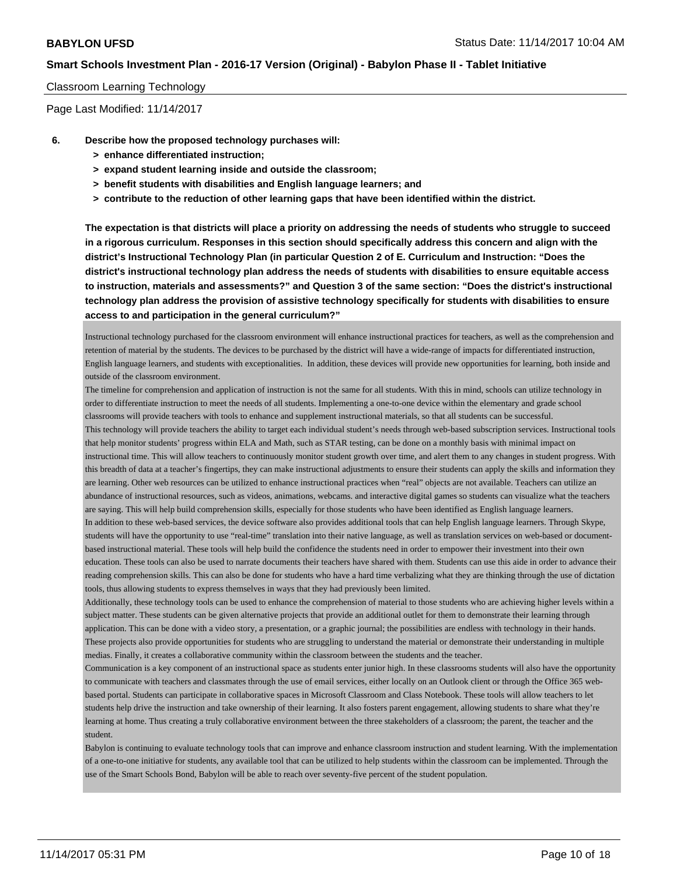#### Classroom Learning Technology

Page Last Modified: 11/14/2017

- **6. Describe how the proposed technology purchases will:**
	- **> enhance differentiated instruction;**
	- **> expand student learning inside and outside the classroom;**
	- **> benefit students with disabilities and English language learners; and**
	- **> contribute to the reduction of other learning gaps that have been identified within the district.**

**The expectation is that districts will place a priority on addressing the needs of students who struggle to succeed in a rigorous curriculum. Responses in this section should specifically address this concern and align with the district's Instructional Technology Plan (in particular Question 2 of E. Curriculum and Instruction: "Does the district's instructional technology plan address the needs of students with disabilities to ensure equitable access to instruction, materials and assessments?" and Question 3 of the same section: "Does the district's instructional technology plan address the provision of assistive technology specifically for students with disabilities to ensure access to and participation in the general curriculum?"**

Instructional technology purchased for the classroom environment will enhance instructional practices for teachers, as well as the comprehension and retention of material by the students. The devices to be purchased by the district will have a wide-range of impacts for differentiated instruction, English language learners, and students with exceptionalities. In addition, these devices will provide new opportunities for learning, both inside and outside of the classroom environment.

The timeline for comprehension and application of instruction is not the same for all students. With this in mind, schools can utilize technology in order to differentiate instruction to meet the needs of all students. Implementing a one-to-one device within the elementary and grade school classrooms will provide teachers with tools to enhance and supplement instructional materials, so that all students can be successful. This technology will provide teachers the ability to target each individual student's needs through web-based subscription services. Instructional tools that help monitor students' progress within ELA and Math, such as STAR testing, can be done on a monthly basis with minimal impact on instructional time. This will allow teachers to continuously monitor student growth over time, and alert them to any changes in student progress. With this breadth of data at a teacher's fingertips, they can make instructional adjustments to ensure their students can apply the skills and information they are learning. Other web resources can be utilized to enhance instructional practices when "real" objects are not available. Teachers can utilize an abundance of instructional resources, such as videos, animations, webcams. and interactive digital games so students can visualize what the teachers are saying. This will help build comprehension skills, especially for those students who have been identified as English language learners. In addition to these web-based services, the device software also provides additional tools that can help English language learners. Through Skype, students will have the opportunity to use "real-time" translation into their native language, as well as translation services on web-based or documentbased instructional material. These tools will help build the confidence the students need in order to empower their investment into their own education. These tools can also be used to narrate documents their teachers have shared with them. Students can use this aide in order to advance their reading comprehension skills. This can also be done for students who have a hard time verbalizing what they are thinking through the use of dictation tools, thus allowing students to express themselves in ways that they had previously been limited.

Additionally, these technology tools can be used to enhance the comprehension of material to those students who are achieving higher levels within a subject matter. These students can be given alternative projects that provide an additional outlet for them to demonstrate their learning through application. This can be done with a video story, a presentation, or a graphic journal; the possibilities are endless with technology in their hands. These projects also provide opportunities for students who are struggling to understand the material or demonstrate their understanding in multiple medias. Finally, it creates a collaborative community within the classroom between the students and the teacher.

Communication is a key component of an instructional space as students enter junior high. In these classrooms students will also have the opportunity to communicate with teachers and classmates through the use of email services, either locally on an Outlook client or through the Office 365 webbased portal. Students can participate in collaborative spaces in Microsoft Classroom and Class Notebook. These tools will allow teachers to let students help drive the instruction and take ownership of their learning. It also fosters parent engagement, allowing students to share what they're learning at home. Thus creating a truly collaborative environment between the three stakeholders of a classroom; the parent, the teacher and the student.

Babylon is continuing to evaluate technology tools that can improve and enhance classroom instruction and student learning. With the implementation of a one-to-one initiative for students, any available tool that can be utilized to help students within the classroom can be implemented. Through the use of the Smart Schools Bond, Babylon will be able to reach over seventy-five percent of the student population.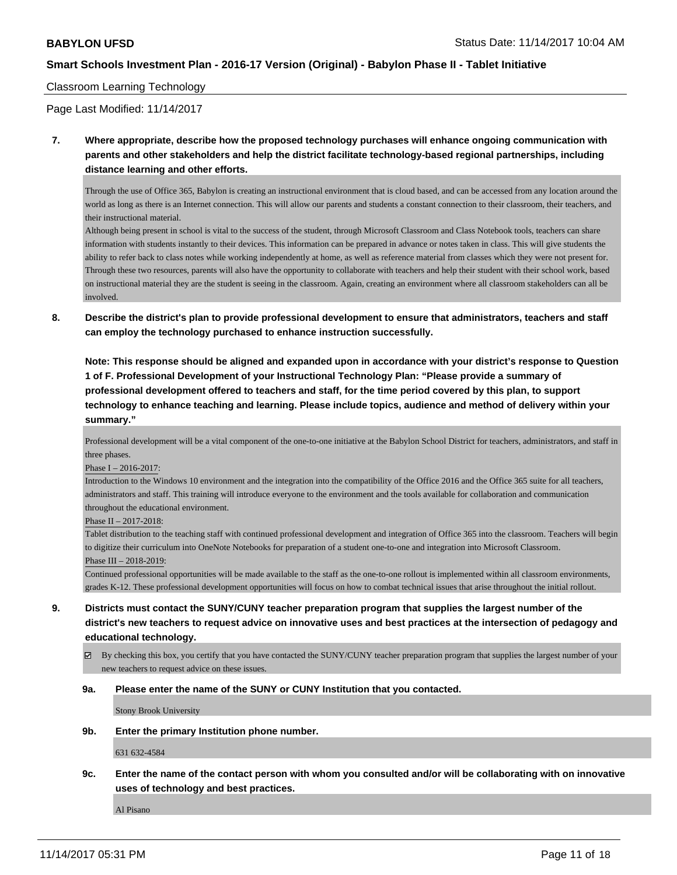#### Classroom Learning Technology

Page Last Modified: 11/14/2017

**7. Where appropriate, describe how the proposed technology purchases will enhance ongoing communication with parents and other stakeholders and help the district facilitate technology-based regional partnerships, including distance learning and other efforts.**

Through the use of Office 365, Babylon is creating an instructional environment that is cloud based, and can be accessed from any location around the world as long as there is an Internet connection. This will allow our parents and students a constant connection to their classroom, their teachers, and their instructional material.

Although being present in school is vital to the success of the student, through Microsoft Classroom and Class Notebook tools, teachers can share information with students instantly to their devices. This information can be prepared in advance or notes taken in class. This will give students the ability to refer back to class notes while working independently at home, as well as reference material from classes which they were not present for. Through these two resources, parents will also have the opportunity to collaborate with teachers and help their student with their school work, based on instructional material they are the student is seeing in the classroom. Again, creating an environment where all classroom stakeholders can all be involved.

**8. Describe the district's plan to provide professional development to ensure that administrators, teachers and staff can employ the technology purchased to enhance instruction successfully.**

**Note: This response should be aligned and expanded upon in accordance with your district's response to Question 1 of F. Professional Development of your Instructional Technology Plan: "Please provide a summary of professional development offered to teachers and staff, for the time period covered by this plan, to support technology to enhance teaching and learning. Please include topics, audience and method of delivery within your summary."**

Professional development will be a vital component of the one-to-one initiative at the Babylon School District for teachers, administrators, and staff in three phases.

Phase I – 2016-2017:

Introduction to the Windows 10 environment and the integration into the compatibility of the Office 2016 and the Office 365 suite for all teachers, administrators and staff. This training will introduce everyone to the environment and the tools available for collaboration and communication throughout the educational environment.

Phase II – 2017-2018:

Tablet distribution to the teaching staff with continued professional development and integration of Office 365 into the classroom. Teachers will begin to digitize their curriculum into OneNote Notebooks for preparation of a student one-to-one and integration into Microsoft Classroom. Phase III – 2018-2019:

Continued professional opportunities will be made available to the staff as the one-to-one rollout is implemented within all classroom environments, grades K-12. These professional development opportunities will focus on how to combat technical issues that arise throughout the initial rollout.

- **9. Districts must contact the SUNY/CUNY teacher preparation program that supplies the largest number of the district's new teachers to request advice on innovative uses and best practices at the intersection of pedagogy and educational technology.**
	- $\boxtimes$  By checking this box, you certify that you have contacted the SUNY/CUNY teacher preparation program that supplies the largest number of your new teachers to request advice on these issues.

#### **9a. Please enter the name of the SUNY or CUNY Institution that you contacted.**

Stony Brook University

**9b. Enter the primary Institution phone number.**

631 632-4584

**9c. Enter the name of the contact person with whom you consulted and/or will be collaborating with on innovative uses of technology and best practices.**

Al Pisano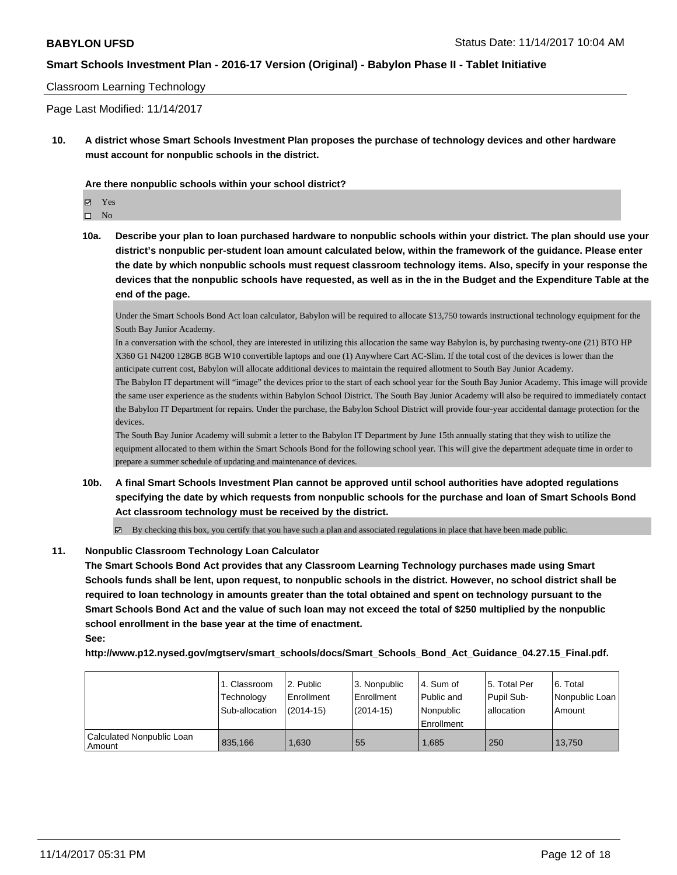## Classroom Learning Technology

Page Last Modified: 11/14/2017

**10. A district whose Smart Schools Investment Plan proposes the purchase of technology devices and other hardware must account for nonpublic schools in the district.**

**Are there nonpublic schools within your school district?**

Yes

 $\hfill \square$  No

**10a. Describe your plan to loan purchased hardware to nonpublic schools within your district. The plan should use your district's nonpublic per-student loan amount calculated below, within the framework of the guidance. Please enter the date by which nonpublic schools must request classroom technology items. Also, specify in your response the devices that the nonpublic schools have requested, as well as in the in the Budget and the Expenditure Table at the end of the page.**

Under the Smart Schools Bond Act loan calculator, Babylon will be required to allocate \$13,750 towards instructional technology equipment for the South Bay Junior Academy.

In a conversation with the school, they are interested in utilizing this allocation the same way Babylon is, by purchasing twenty-one (21) BTO HP X360 G1 N4200 128GB 8GB W10 convertible laptops and one (1) Anywhere Cart AC-Slim. If the total cost of the devices is lower than the anticipate current cost, Babylon will allocate additional devices to maintain the required allotment to South Bay Junior Academy.

The Babylon IT department will "image" the devices prior to the start of each school year for the South Bay Junior Academy. This image will provide the same user experience as the students within Babylon School District. The South Bay Junior Academy will also be required to immediately contact the Babylon IT Department for repairs. Under the purchase, the Babylon School District will provide four-year accidental damage protection for the devices.

The South Bay Junior Academy will submit a letter to the Babylon IT Department by June 15th annually stating that they wish to utilize the equipment allocated to them within the Smart Schools Bond for the following school year. This will give the department adequate time in order to prepare a summer schedule of updating and maintenance of devices.

**10b. A final Smart Schools Investment Plan cannot be approved until school authorities have adopted regulations specifying the date by which requests from nonpublic schools for the purchase and loan of Smart Schools Bond Act classroom technology must be received by the district.**

 $\boxtimes$  By checking this box, you certify that you have such a plan and associated regulations in place that have been made public.

#### **11. Nonpublic Classroom Technology Loan Calculator**

**The Smart Schools Bond Act provides that any Classroom Learning Technology purchases made using Smart Schools funds shall be lent, upon request, to nonpublic schools in the district. However, no school district shall be required to loan technology in amounts greater than the total obtained and spent on technology pursuant to the Smart Schools Bond Act and the value of such loan may not exceed the total of \$250 multiplied by the nonpublic school enrollment in the base year at the time of enactment. See:**

**http://www.p12.nysed.gov/mgtserv/smart\_schools/docs/Smart\_Schools\_Bond\_Act\_Guidance\_04.27.15\_Final.pdf.**

|                                       | 1. Classroom<br>Technology<br>Sub-allocation | 2. Public<br>l Enrollment<br>$(2014 - 15)$ | 3. Nonpublic<br>l Enrollment<br>$(2014 - 15)$ | l 4. Sum of<br>Public and<br>l Nonpublic<br>Enrollment | 15. Total Per<br>Pupil Sub-<br>lallocation | l 6. Total<br>l Nonpublic Loan<br>Amount |
|---------------------------------------|----------------------------------------------|--------------------------------------------|-----------------------------------------------|--------------------------------------------------------|--------------------------------------------|------------------------------------------|
| Calculated Nonpublic Loan<br>l Amount | 835.166                                      | 1.630                                      | 55                                            | 1.685                                                  | 250                                        | 13.750                                   |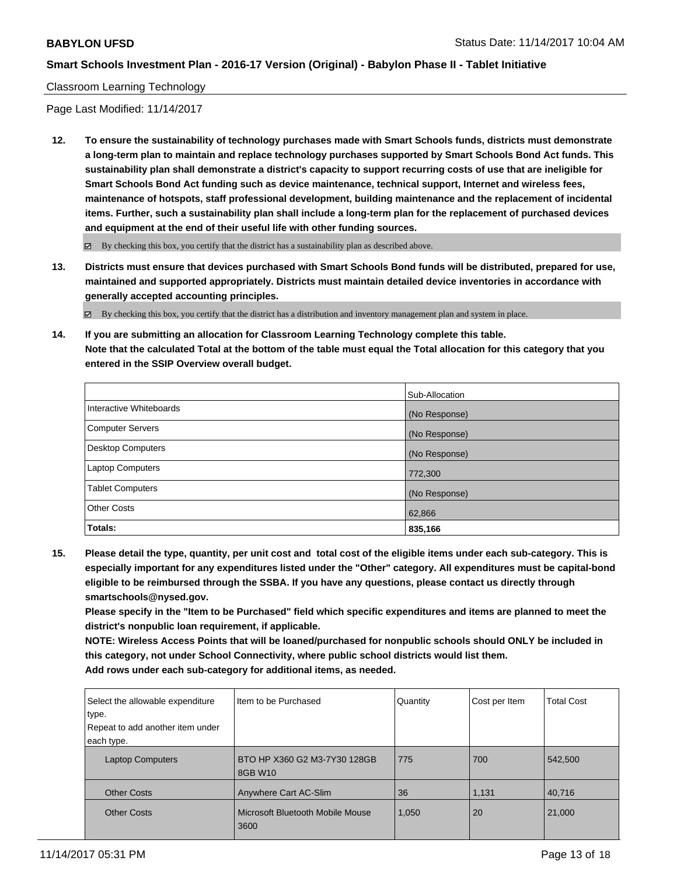## Classroom Learning Technology

Page Last Modified: 11/14/2017

**12. To ensure the sustainability of technology purchases made with Smart Schools funds, districts must demonstrate a long-term plan to maintain and replace technology purchases supported by Smart Schools Bond Act funds. This sustainability plan shall demonstrate a district's capacity to support recurring costs of use that are ineligible for Smart Schools Bond Act funding such as device maintenance, technical support, Internet and wireless fees, maintenance of hotspots, staff professional development, building maintenance and the replacement of incidental items. Further, such a sustainability plan shall include a long-term plan for the replacement of purchased devices and equipment at the end of their useful life with other funding sources.**

 $\boxtimes$  By checking this box, you certify that the district has a sustainability plan as described above.

**13. Districts must ensure that devices purchased with Smart Schools Bond funds will be distributed, prepared for use, maintained and supported appropriately. Districts must maintain detailed device inventories in accordance with generally accepted accounting principles.**

By checking this box, you certify that the district has a distribution and inventory management plan and system in place.

**14. If you are submitting an allocation for Classroom Learning Technology complete this table. Note that the calculated Total at the bottom of the table must equal the Total allocation for this category that you entered in the SSIP Overview overall budget.**

|                          | Sub-Allocation |
|--------------------------|----------------|
| Interactive Whiteboards  | (No Response)  |
| Computer Servers         | (No Response)  |
| <b>Desktop Computers</b> | (No Response)  |
| <b>Laptop Computers</b>  | 772,300        |
| <b>Tablet Computers</b>  | (No Response)  |
| <b>Other Costs</b>       | 62,866         |
| <b>Totals:</b>           | 835,166        |

**15. Please detail the type, quantity, per unit cost and total cost of the eligible items under each sub-category. This is especially important for any expenditures listed under the "Other" category. All expenditures must be capital-bond eligible to be reimbursed through the SSBA. If you have any questions, please contact us directly through smartschools@nysed.gov.**

**Please specify in the "Item to be Purchased" field which specific expenditures and items are planned to meet the district's nonpublic loan requirement, if applicable.**

**NOTE: Wireless Access Points that will be loaned/purchased for nonpublic schools should ONLY be included in this category, not under School Connectivity, where public school districts would list them.**

| Add rows under each sub-category for additional items, as needed. |  |  |
|-------------------------------------------------------------------|--|--|
|-------------------------------------------------------------------|--|--|

| Select the allowable expenditure<br>type.<br>Repeat to add another item under<br>each type. | Iltem to be Purchased                       | Quantity | Cost per Item | <b>Total Cost</b> |
|---------------------------------------------------------------------------------------------|---------------------------------------------|----------|---------------|-------------------|
| <b>Laptop Computers</b>                                                                     | l BTO HP X360 G2 M3-7Y30 128GB<br>l 8GB W10 | 775      | 700           | 542,500           |
| <b>Other Costs</b>                                                                          | Anywhere Cart AC-Slim                       | 36       | 1,131         | 40,716            |
| <b>Other Costs</b>                                                                          | Microsoft Bluetooth Mobile Mouse<br>3600    | 1,050    | 20            | 21,000            |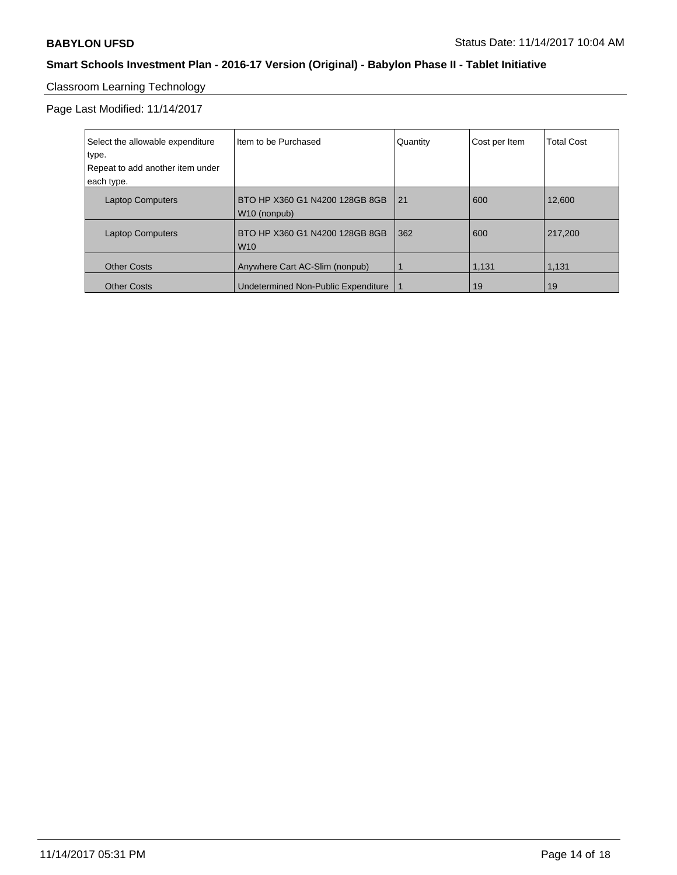# Classroom Learning Technology

Page Last Modified: 11/14/2017

| Select the allowable expenditure<br>type.<br>Repeat to add another item under<br>each type. | Iltem to be Purchased                          | Quantity | Cost per Item | <b>Total Cost</b> |
|---------------------------------------------------------------------------------------------|------------------------------------------------|----------|---------------|-------------------|
| <b>Laptop Computers</b>                                                                     | BTO HP X360 G1 N4200 128GB 8GB<br>W10 (nonpub) | 21       | 600           | 12.600            |
| <b>Laptop Computers</b>                                                                     | BTO HP X360 G1 N4200 128GB 8GB<br><b>W10</b>   | 362      | 600           | 217.200           |
| <b>Other Costs</b>                                                                          | Anywhere Cart AC-Slim (nonpub)                 |          | 1,131         | 1,131             |
| <b>Other Costs</b>                                                                          | Undetermined Non-Public Expenditure            |          | 19            | 19                |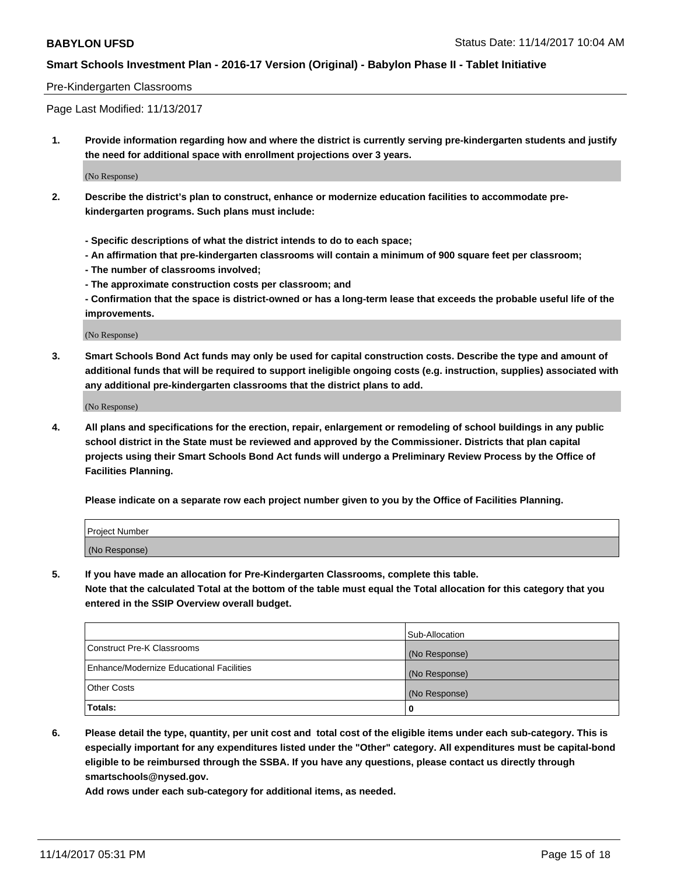#### Pre-Kindergarten Classrooms

Page Last Modified: 11/13/2017

**1. Provide information regarding how and where the district is currently serving pre-kindergarten students and justify the need for additional space with enrollment projections over 3 years.**

(No Response)

- **2. Describe the district's plan to construct, enhance or modernize education facilities to accommodate prekindergarten programs. Such plans must include:**
	- **Specific descriptions of what the district intends to do to each space;**
	- **An affirmation that pre-kindergarten classrooms will contain a minimum of 900 square feet per classroom;**
	- **The number of classrooms involved;**
	- **The approximate construction costs per classroom; and**

**- Confirmation that the space is district-owned or has a long-term lease that exceeds the probable useful life of the improvements.**

(No Response)

**3. Smart Schools Bond Act funds may only be used for capital construction costs. Describe the type and amount of additional funds that will be required to support ineligible ongoing costs (e.g. instruction, supplies) associated with any additional pre-kindergarten classrooms that the district plans to add.**

(No Response)

**4. All plans and specifications for the erection, repair, enlargement or remodeling of school buildings in any public school district in the State must be reviewed and approved by the Commissioner. Districts that plan capital projects using their Smart Schools Bond Act funds will undergo a Preliminary Review Process by the Office of Facilities Planning.**

**Please indicate on a separate row each project number given to you by the Office of Facilities Planning.**

| Project Number |  |
|----------------|--|
| (No Response)  |  |

**5. If you have made an allocation for Pre-Kindergarten Classrooms, complete this table.**

**Note that the calculated Total at the bottom of the table must equal the Total allocation for this category that you entered in the SSIP Overview overall budget.**

|                                          | Sub-Allocation |
|------------------------------------------|----------------|
| Construct Pre-K Classrooms               | (No Response)  |
| Enhance/Modernize Educational Facilities | (No Response)  |
| <b>Other Costs</b>                       | (No Response)  |
| <b>Totals:</b>                           | 0              |

**6. Please detail the type, quantity, per unit cost and total cost of the eligible items under each sub-category. This is especially important for any expenditures listed under the "Other" category. All expenditures must be capital-bond eligible to be reimbursed through the SSBA. If you have any questions, please contact us directly through smartschools@nysed.gov.**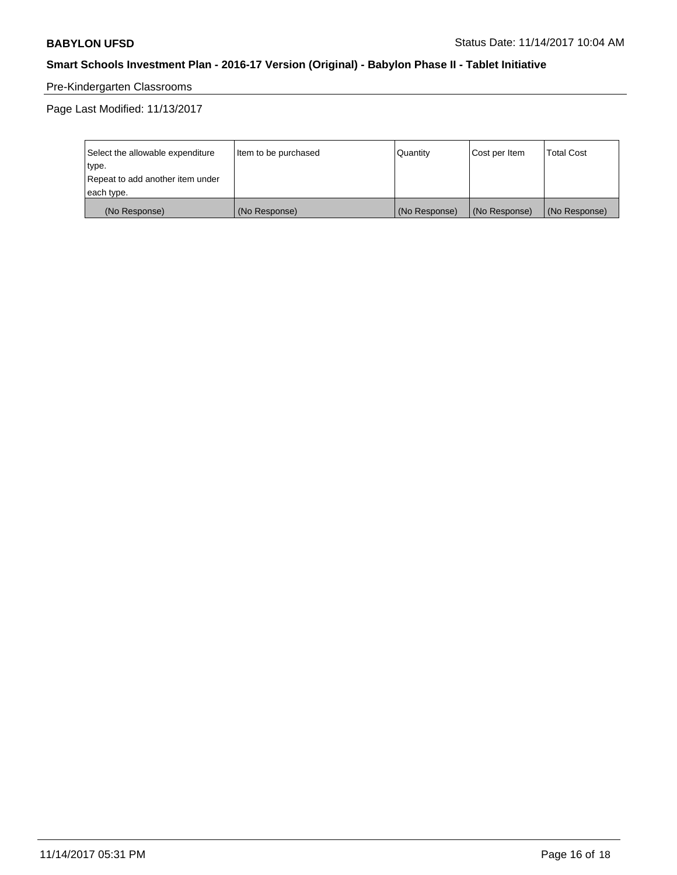# Pre-Kindergarten Classrooms

Page Last Modified: 11/13/2017

| Select the allowable expenditure | Item to be purchased | Quantity      | Cost per Item | <b>Total Cost</b> |
|----------------------------------|----------------------|---------------|---------------|-------------------|
| type.                            |                      |               |               |                   |
| Repeat to add another item under |                      |               |               |                   |
| each type.                       |                      |               |               |                   |
| (No Response)                    | (No Response)        | (No Response) | (No Response) | (No Response)     |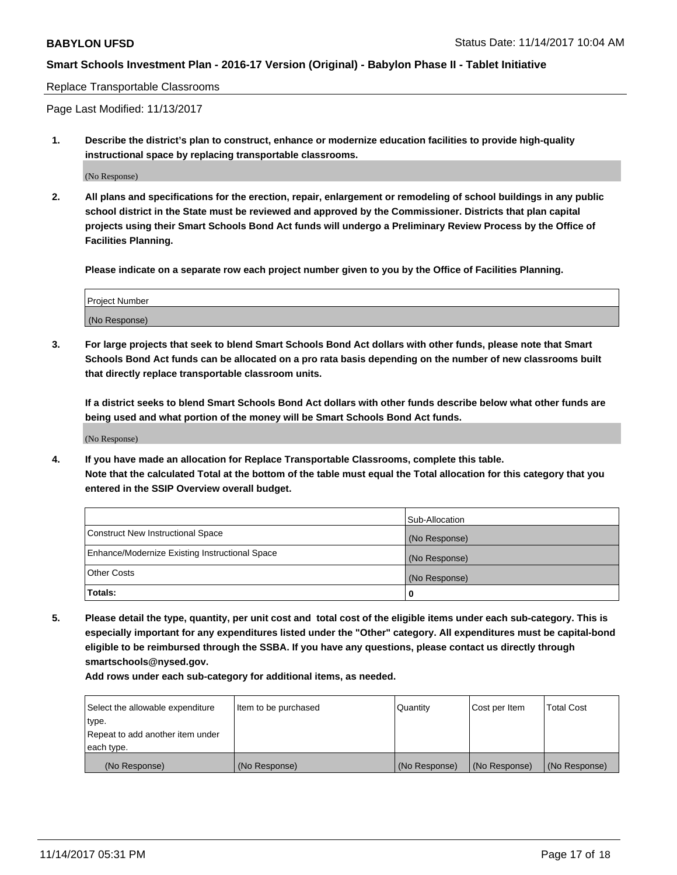#### Replace Transportable Classrooms

Page Last Modified: 11/13/2017

**1. Describe the district's plan to construct, enhance or modernize education facilities to provide high-quality instructional space by replacing transportable classrooms.**

(No Response)

**2. All plans and specifications for the erection, repair, enlargement or remodeling of school buildings in any public school district in the State must be reviewed and approved by the Commissioner. Districts that plan capital projects using their Smart Schools Bond Act funds will undergo a Preliminary Review Process by the Office of Facilities Planning.**

**Please indicate on a separate row each project number given to you by the Office of Facilities Planning.**

| <b>Project Number</b> |  |
|-----------------------|--|
| (No Response)         |  |

**3. For large projects that seek to blend Smart Schools Bond Act dollars with other funds, please note that Smart Schools Bond Act funds can be allocated on a pro rata basis depending on the number of new classrooms built that directly replace transportable classroom units.**

**If a district seeks to blend Smart Schools Bond Act dollars with other funds describe below what other funds are being used and what portion of the money will be Smart Schools Bond Act funds.**

(No Response)

**4. If you have made an allocation for Replace Transportable Classrooms, complete this table. Note that the calculated Total at the bottom of the table must equal the Total allocation for this category that you entered in the SSIP Overview overall budget.**

|                                                | Sub-Allocation |
|------------------------------------------------|----------------|
| Construct New Instructional Space              | (No Response)  |
| Enhance/Modernize Existing Instructional Space | (No Response)  |
| <b>Other Costs</b>                             | (No Response)  |
| Totals:                                        | 0              |

**5. Please detail the type, quantity, per unit cost and total cost of the eligible items under each sub-category. This is especially important for any expenditures listed under the "Other" category. All expenditures must be capital-bond eligible to be reimbursed through the SSBA. If you have any questions, please contact us directly through smartschools@nysed.gov.**

| Select the allowable expenditure<br>type.<br>Repeat to add another item under<br>each type. | Item to be purchased | Quantity      | Cost per Item | <b>Total Cost</b> |
|---------------------------------------------------------------------------------------------|----------------------|---------------|---------------|-------------------|
|                                                                                             |                      |               |               |                   |
| (No Response)                                                                               | (No Response)        | (No Response) | (No Response) | (No Response)     |